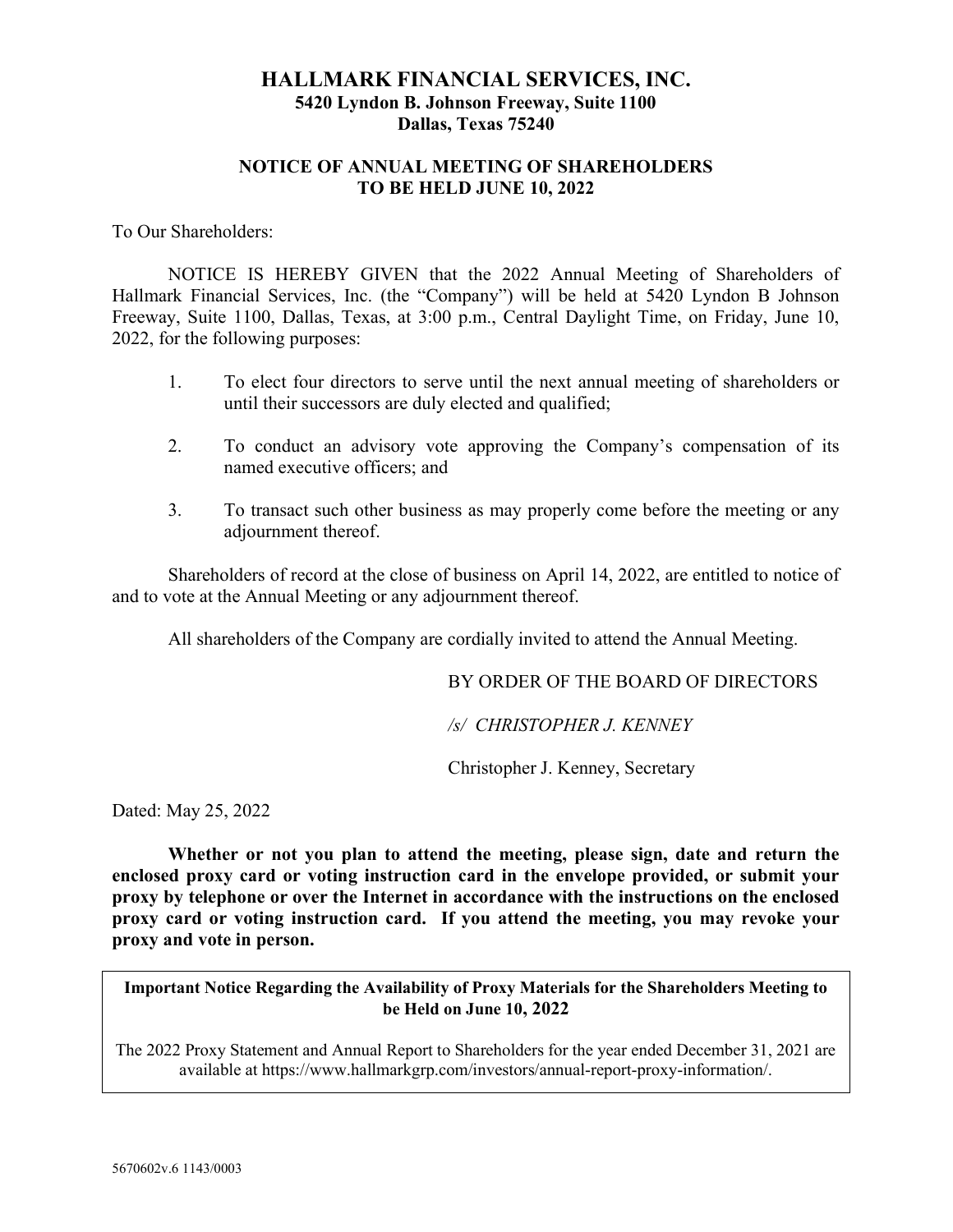# HALLMARK FINANCIAL SERVICES, INC. 5420 Lyndon B. Johnson Freeway, Suite 1100 Dallas, Texas 75240

# NOTICE OF ANNUAL MEETING OF SHAREHOLDERS TO BE HELD JUNE 10, 2022

To Our Shareholders:

 NOTICE IS HEREBY GIVEN that the 2022 Annual Meeting of Shareholders of Hallmark Financial Services, Inc. (the "Company") will be held at 5420 Lyndon B Johnson Freeway, Suite 1100, Dallas, Texas, at 3:00 p.m., Central Daylight Time, on Friday, June 10, 2022, for the following purposes:

- 1. To elect four directors to serve until the next annual meeting of shareholders or until their successors are duly elected and qualified;
- 2. To conduct an advisory vote approving the Company's compensation of its named executive officers; and
- 3. To transact such other business as may properly come before the meeting or any adjournment thereof.

 Shareholders of record at the close of business on April 14, 2022, are entitled to notice of and to vote at the Annual Meeting or any adjournment thereof.

All shareholders of the Company are cordially invited to attend the Annual Meeting.

BY ORDER OF THE BOARD OF DIRECTORS

/s/ CHRISTOPHER J. KENNEY

Christopher J. Kenney, Secretary

Dated: May 25, 2022

 Whether or not you plan to attend the meeting, please sign, date and return the enclosed proxy card or voting instruction card in the envelope provided, or submit your proxy by telephone or over the Internet in accordance with the instructions on the enclosed proxy card or voting instruction card. If you attend the meeting, you may revoke your proxy and vote in person.

Important Notice Regarding the Availability of Proxy Materials for the Shareholders Meeting to be Held on June 10, 2022

The 2022 Proxy Statement and Annual Report to Shareholders for the year ended December 31, 2021 are available at https://www.hallmarkgrp.com/investors/annual-report-proxy-information/.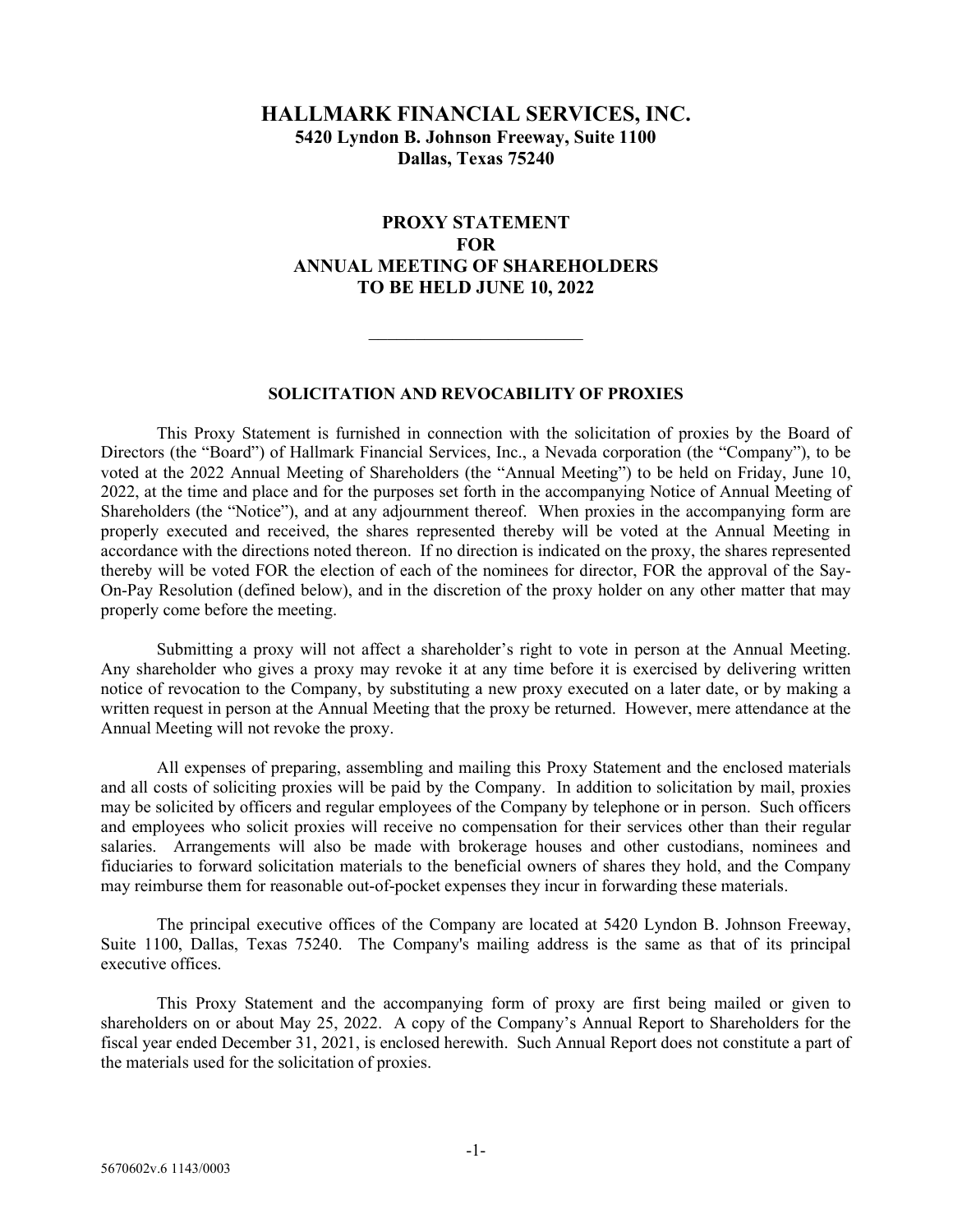# HALLMARK FINANCIAL SERVICES, INC. 5420 Lyndon B. Johnson Freeway, Suite 1100 Dallas, Texas 75240

# PROXY STATEMENT **FOR** ANNUAL MEETING OF SHAREHOLDERS TO BE HELD JUNE 10, 2022

## SOLICITATION AND REVOCABILITY OF PROXIES

 This Proxy Statement is furnished in connection with the solicitation of proxies by the Board of Directors (the "Board") of Hallmark Financial Services, Inc., a Nevada corporation (the "Company"), to be voted at the 2022 Annual Meeting of Shareholders (the "Annual Meeting") to be held on Friday, June 10, 2022, at the time and place and for the purposes set forth in the accompanying Notice of Annual Meeting of Shareholders (the "Notice"), and at any adjournment thereof. When proxies in the accompanying form are properly executed and received, the shares represented thereby will be voted at the Annual Meeting in accordance with the directions noted thereon. If no direction is indicated on the proxy, the shares represented thereby will be voted FOR the election of each of the nominees for director, FOR the approval of the Say-On-Pay Resolution (defined below), and in the discretion of the proxy holder on any other matter that may properly come before the meeting.

 Submitting a proxy will not affect a shareholder's right to vote in person at the Annual Meeting. Any shareholder who gives a proxy may revoke it at any time before it is exercised by delivering written notice of revocation to the Company, by substituting a new proxy executed on a later date, or by making a written request in person at the Annual Meeting that the proxy be returned. However, mere attendance at the Annual Meeting will not revoke the proxy.

 All expenses of preparing, assembling and mailing this Proxy Statement and the enclosed materials and all costs of soliciting proxies will be paid by the Company. In addition to solicitation by mail, proxies may be solicited by officers and regular employees of the Company by telephone or in person. Such officers and employees who solicit proxies will receive no compensation for their services other than their regular salaries. Arrangements will also be made with brokerage houses and other custodians, nominees and fiduciaries to forward solicitation materials to the beneficial owners of shares they hold, and the Company may reimburse them for reasonable out-of-pocket expenses they incur in forwarding these materials.

 The principal executive offices of the Company are located at 5420 Lyndon B. Johnson Freeway, Suite 1100, Dallas, Texas 75240. The Company's mailing address is the same as that of its principal executive offices.

 This Proxy Statement and the accompanying form of proxy are first being mailed or given to shareholders on or about May 25, 2022. A copy of the Company's Annual Report to Shareholders for the fiscal year ended December 31, 2021, is enclosed herewith. Such Annual Report does not constitute a part of the materials used for the solicitation of proxies.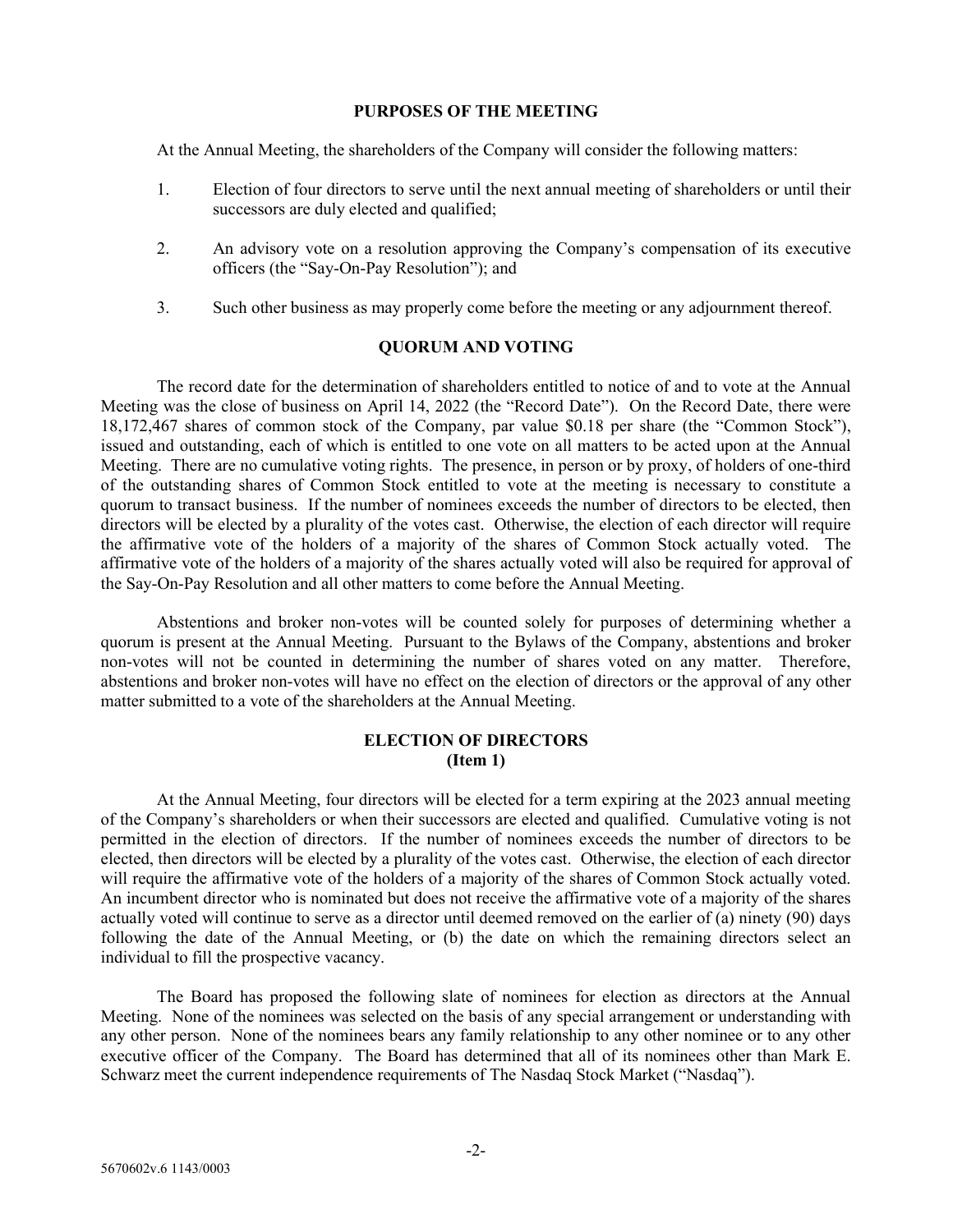### PURPOSES OF THE MEETING

At the Annual Meeting, the shareholders of the Company will consider the following matters:

- 1. Election of four directors to serve until the next annual meeting of shareholders or until their successors are duly elected and qualified;
- 2. An advisory vote on a resolution approving the Company's compensation of its executive officers (the "Say-On-Pay Resolution"); and
- 3. Such other business as may properly come before the meeting or any adjournment thereof.

## QUORUM AND VOTING

 The record date for the determination of shareholders entitled to notice of and to vote at the Annual Meeting was the close of business on April 14, 2022 (the "Record Date"). On the Record Date, there were 18,172,467 shares of common stock of the Company, par value \$0.18 per share (the "Common Stock"), issued and outstanding, each of which is entitled to one vote on all matters to be acted upon at the Annual Meeting. There are no cumulative voting rights. The presence, in person or by proxy, of holders of one-third of the outstanding shares of Common Stock entitled to vote at the meeting is necessary to constitute a quorum to transact business. If the number of nominees exceeds the number of directors to be elected, then directors will be elected by a plurality of the votes cast. Otherwise, the election of each director will require the affirmative vote of the holders of a majority of the shares of Common Stock actually voted. The affirmative vote of the holders of a majority of the shares actually voted will also be required for approval of the Say-On-Pay Resolution and all other matters to come before the Annual Meeting.

 Abstentions and broker non-votes will be counted solely for purposes of determining whether a quorum is present at the Annual Meeting. Pursuant to the Bylaws of the Company, abstentions and broker non-votes will not be counted in determining the number of shares voted on any matter. Therefore, abstentions and broker non-votes will have no effect on the election of directors or the approval of any other matter submitted to a vote of the shareholders at the Annual Meeting.

## ELECTION OF DIRECTORS (Item 1)

 At the Annual Meeting, four directors will be elected for a term expiring at the 2023 annual meeting of the Company's shareholders or when their successors are elected and qualified. Cumulative voting is not permitted in the election of directors. If the number of nominees exceeds the number of directors to be elected, then directors will be elected by a plurality of the votes cast. Otherwise, the election of each director will require the affirmative vote of the holders of a majority of the shares of Common Stock actually voted. An incumbent director who is nominated but does not receive the affirmative vote of a majority of the shares actually voted will continue to serve as a director until deemed removed on the earlier of (a) ninety (90) days following the date of the Annual Meeting, or (b) the date on which the remaining directors select an individual to fill the prospective vacancy.

 The Board has proposed the following slate of nominees for election as directors at the Annual Meeting. None of the nominees was selected on the basis of any special arrangement or understanding with any other person. None of the nominees bears any family relationship to any other nominee or to any other executive officer of the Company. The Board has determined that all of its nominees other than Mark E. Schwarz meet the current independence requirements of The Nasdaq Stock Market ("Nasdaq").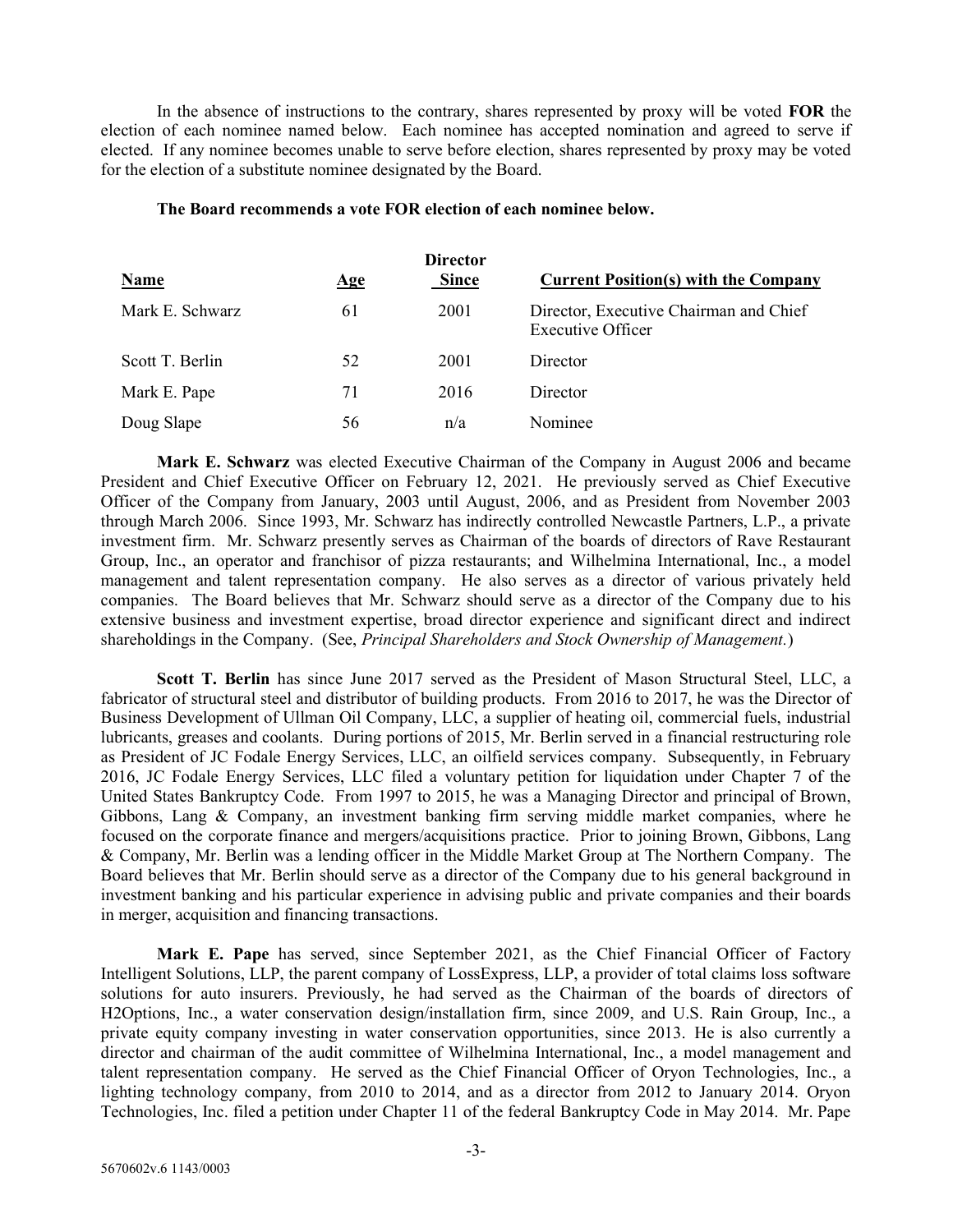In the absence of instructions to the contrary, shares represented by proxy will be voted FOR the election of each nominee named below. Each nominee has accepted nomination and agreed to serve if elected. If any nominee becomes unable to serve before election, shares represented by proxy may be voted for the election of a substitute nominee designated by the Board.

| Name            | $\mathbf{Age}$ | <b>Director</b><br><b>Since</b> | <b>Current Position(s) with the Company</b>                        |
|-----------------|----------------|---------------------------------|--------------------------------------------------------------------|
| Mark E. Schwarz | 61             | 2001                            | Director, Executive Chairman and Chief<br><b>Executive Officer</b> |
| Scott T. Berlin | 52             | 2001                            | Director                                                           |
| Mark E. Pape    | 71             | 2016                            | Director                                                           |
| Doug Slape      | 56             | n/a                             | Nominee                                                            |

### The Board recommends a vote FOR election of each nominee below.

Mark E. Schwarz was elected Executive Chairman of the Company in August 2006 and became President and Chief Executive Officer on February 12, 2021. He previously served as Chief Executive Officer of the Company from January, 2003 until August, 2006, and as President from November 2003 through March 2006. Since 1993, Mr. Schwarz has indirectly controlled Newcastle Partners, L.P., a private investment firm. Mr. Schwarz presently serves as Chairman of the boards of directors of Rave Restaurant Group, Inc., an operator and franchisor of pizza restaurants; and Wilhelmina International, Inc., a model management and talent representation company. He also serves as a director of various privately held companies. The Board believes that Mr. Schwarz should serve as a director of the Company due to his extensive business and investment expertise, broad director experience and significant direct and indirect shareholdings in the Company. (See, *Principal Shareholders and Stock Ownership of Management.*)

Scott T. Berlin has since June 2017 served as the President of Mason Structural Steel, LLC, a fabricator of structural steel and distributor of building products. From 2016 to 2017, he was the Director of Business Development of Ullman Oil Company, LLC, a supplier of heating oil, commercial fuels, industrial lubricants, greases and coolants. During portions of 2015, Mr. Berlin served in a financial restructuring role as President of JC Fodale Energy Services, LLC, an oilfield services company. Subsequently, in February 2016, JC Fodale Energy Services, LLC filed a voluntary petition for liquidation under Chapter 7 of the United States Bankruptcy Code. From 1997 to 2015, he was a Managing Director and principal of Brown, Gibbons, Lang & Company, an investment banking firm serving middle market companies, where he focused on the corporate finance and mergers/acquisitions practice. Prior to joining Brown, Gibbons, Lang & Company, Mr. Berlin was a lending officer in the Middle Market Group at The Northern Company. The Board believes that Mr. Berlin should serve as a director of the Company due to his general background in investment banking and his particular experience in advising public and private companies and their boards in merger, acquisition and financing transactions.

Mark E. Pape has served, since September 2021, as the Chief Financial Officer of Factory Intelligent Solutions, LLP, the parent company of LossExpress, LLP, a provider of total claims loss software solutions for auto insurers. Previously, he had served as the Chairman of the boards of directors of H2Options, Inc., a water conservation design/installation firm, since 2009, and U.S. Rain Group, Inc., a private equity company investing in water conservation opportunities, since 2013. He is also currently a director and chairman of the audit committee of Wilhelmina International, Inc., a model management and talent representation company. He served as the Chief Financial Officer of Oryon Technologies, Inc., a lighting technology company, from 2010 to 2014, and as a director from 2012 to January 2014. Oryon Technologies, Inc. filed a petition under Chapter 11 of the federal Bankruptcy Code in May 2014. Mr. Pape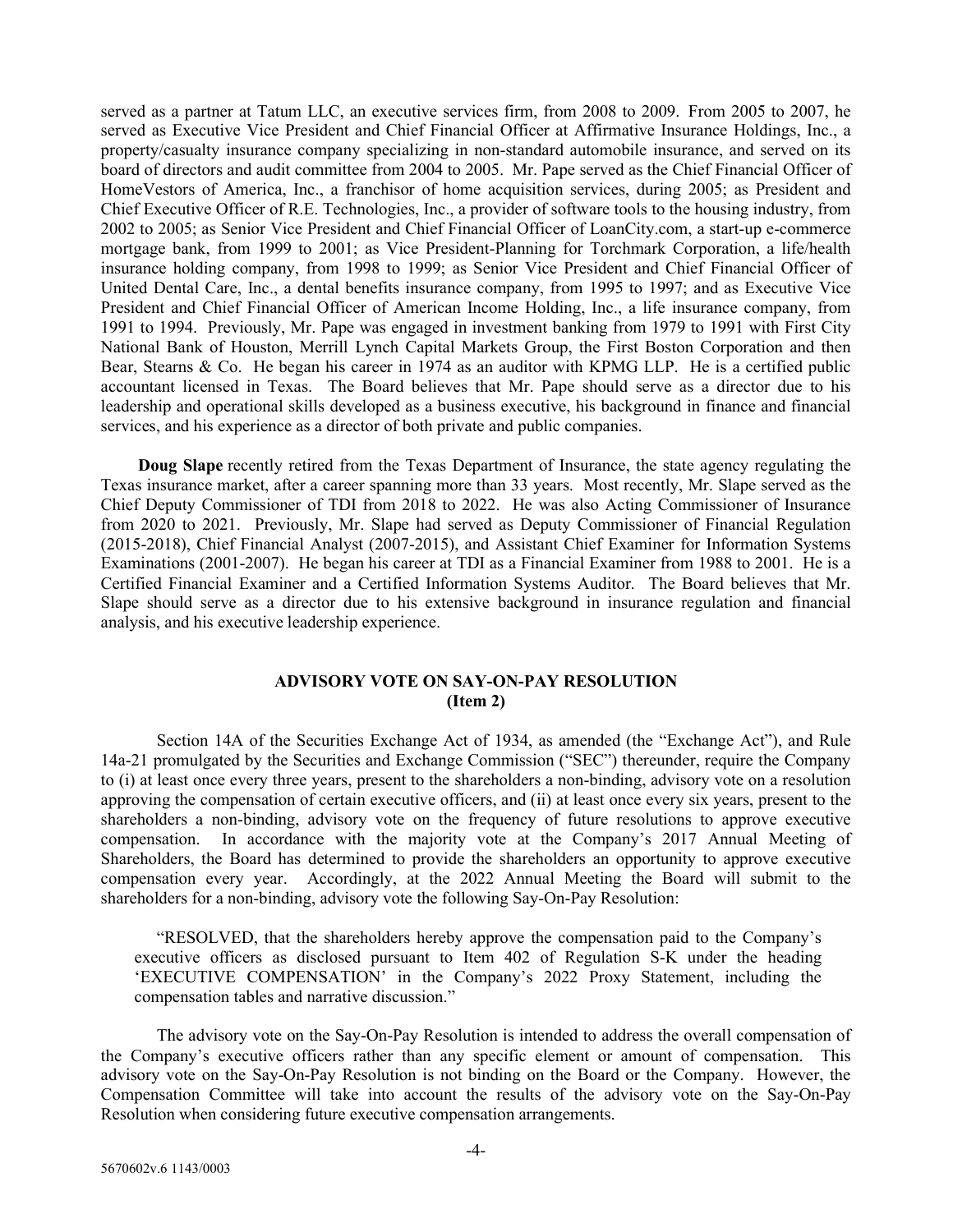served as a partner at Tatum LLC, an executive services firm, from 2008 to 2009. From 2005 to 2007, he served as Executive Vice President and Chief Financial Officer at Affirmative Insurance Holdings, Inc., a property/casualty insurance company specializing in non-standard automobile insurance, and served on its board of directors and audit committee from 2004 to 2005. Mr. Pape served as the Chief Financial Officer of HomeVestors of America, Inc., a franchisor of home acquisition services, during 2005; as President and Chief Executive Officer of R.E. Technologies, Inc., a provider of software tools to the housing industry, from 2002 to 2005; as Senior Vice President and Chief Financial Officer of LoanCity.com, a start-up e-commerce mortgage bank, from 1999 to 2001; as Vice President-Planning for Torchmark Corporation, a life/health insurance holding company, from 1998 to 1999; as Senior Vice President and Chief Financial Officer of United Dental Care, Inc., a dental benefits insurance company, from 1995 to 1997; and as Executive Vice President and Chief Financial Officer of American Income Holding, Inc., a life insurance company, from 1991 to 1994. Previously, Mr. Pape was engaged in investment banking from 1979 to 1991 with First City National Bank of Houston, Merrill Lynch Capital Markets Group, the First Boston Corporation and then Bear, Stearns & Co. He began his career in 1974 as an auditor with KPMG LLP. He is a certified public accountant licensed in Texas. The Board believes that Mr. Pape should serve as a director due to his leadership and operational skills developed as a business executive, his background in finance and financial services, and his experience as a director of both private and public companies.

 Doug Slape recently retired from the Texas Department of Insurance, the state agency regulating the Texas insurance market, after a career spanning more than 33 years. Most recently, Mr. Slape served as the Chief Deputy Commissioner of TDI from 2018 to 2022. He was also Acting Commissioner of Insurance from 2020 to 2021. Previously, Mr. Slape had served as Deputy Commissioner of Financial Regulation (2015-2018), Chief Financial Analyst (2007-2015), and Assistant Chief Examiner for Information Systems Examinations (2001-2007). He began his career at TDI as a Financial Examiner from 1988 to 2001. He is a Certified Financial Examiner and a Certified Information Systems Auditor. The Board believes that Mr. Slape should serve as a director due to his extensive background in insurance regulation and financial analysis, and his executive leadership experience.

## ADVISORY VOTE ON SAY-ON-PAY RESOLUTION (Item 2)

 Section 14A of the Securities Exchange Act of 1934, as amended (the "Exchange Act"), and Rule 14a-21 promulgated by the Securities and Exchange Commission ("SEC") thereunder, require the Company to (i) at least once every three years, present to the shareholders a non-binding, advisory vote on a resolution approving the compensation of certain executive officers, and (ii) at least once every six years, present to the shareholders a non-binding, advisory vote on the frequency of future resolutions to approve executive compensation. In accordance with the majority vote at the Company's 2017 Annual Meeting of Shareholders, the Board has determined to provide the shareholders an opportunity to approve executive compensation every year. Accordingly, at the 2022 Annual Meeting the Board will submit to the shareholders for a non-binding, advisory vote the following Say-On-Pay Resolution:

 "RESOLVED, that the shareholders hereby approve the compensation paid to the Company's executive officers as disclosed pursuant to Item 402 of Regulation S-K under the heading 'EXECUTIVE COMPENSATION' in the Company's 2022 Proxy Statement, including the compensation tables and narrative discussion."

 The advisory vote on the Say-On-Pay Resolution is intended to address the overall compensation of the Company's executive officers rather than any specific element or amount of compensation. This advisory vote on the Say-On-Pay Resolution is not binding on the Board or the Company. However, the Compensation Committee will take into account the results of the advisory vote on the Say-On-Pay Resolution when considering future executive compensation arrangements.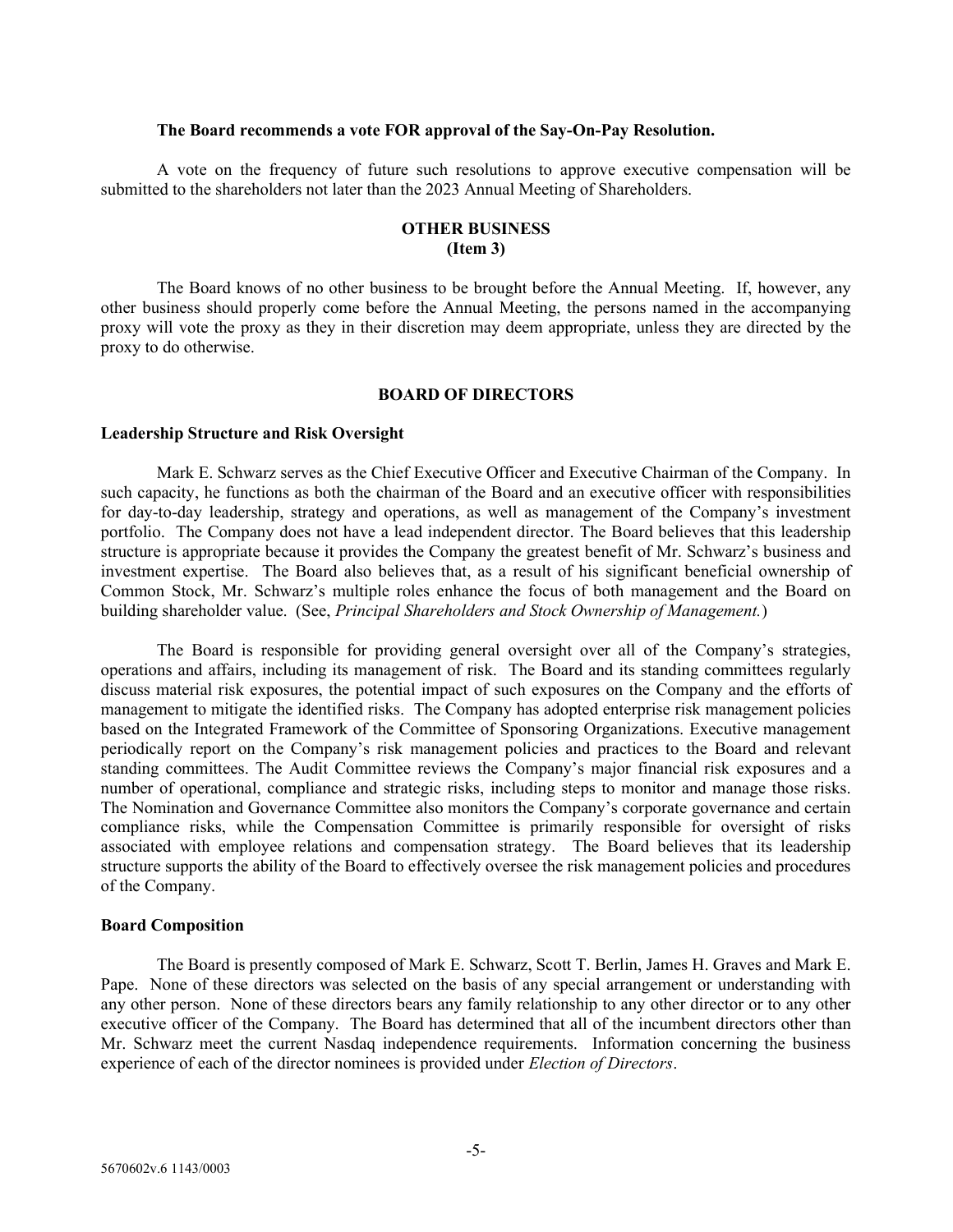#### The Board recommends a vote FOR approval of the Say-On-Pay Resolution.

A vote on the frequency of future such resolutions to approve executive compensation will be submitted to the shareholders not later than the 2023 Annual Meeting of Shareholders.

## OTHER BUSINESS (Item 3)

 The Board knows of no other business to be brought before the Annual Meeting. If, however, any other business should properly come before the Annual Meeting, the persons named in the accompanying proxy will vote the proxy as they in their discretion may deem appropriate, unless they are directed by the proxy to do otherwise.

#### BOARD OF DIRECTORS

#### Leadership Structure and Risk Oversight

 Mark E. Schwarz serves as the Chief Executive Officer and Executive Chairman of the Company. In such capacity, he functions as both the chairman of the Board and an executive officer with responsibilities for day-to-day leadership, strategy and operations, as well as management of the Company's investment portfolio. The Company does not have a lead independent director. The Board believes that this leadership structure is appropriate because it provides the Company the greatest benefit of Mr. Schwarz's business and investment expertise. The Board also believes that, as a result of his significant beneficial ownership of Common Stock, Mr. Schwarz's multiple roles enhance the focus of both management and the Board on building shareholder value. (See, Principal Shareholders and Stock Ownership of Management.)

 The Board is responsible for providing general oversight over all of the Company's strategies, operations and affairs, including its management of risk. The Board and its standing committees regularly discuss material risk exposures, the potential impact of such exposures on the Company and the efforts of management to mitigate the identified risks. The Company has adopted enterprise risk management policies based on the Integrated Framework of the Committee of Sponsoring Organizations. Executive management periodically report on the Company's risk management policies and practices to the Board and relevant standing committees. The Audit Committee reviews the Company's major financial risk exposures and a number of operational, compliance and strategic risks, including steps to monitor and manage those risks. The Nomination and Governance Committee also monitors the Company's corporate governance and certain compliance risks, while the Compensation Committee is primarily responsible for oversight of risks associated with employee relations and compensation strategy. The Board believes that its leadership structure supports the ability of the Board to effectively oversee the risk management policies and procedures of the Company.

#### Board Composition

 The Board is presently composed of Mark E. Schwarz, Scott T. Berlin, James H. Graves and Mark E. Pape. None of these directors was selected on the basis of any special arrangement or understanding with any other person. None of these directors bears any family relationship to any other director or to any other executive officer of the Company. The Board has determined that all of the incumbent directors other than Mr. Schwarz meet the current Nasdaq independence requirements. Information concerning the business experience of each of the director nominees is provided under Election of Directors.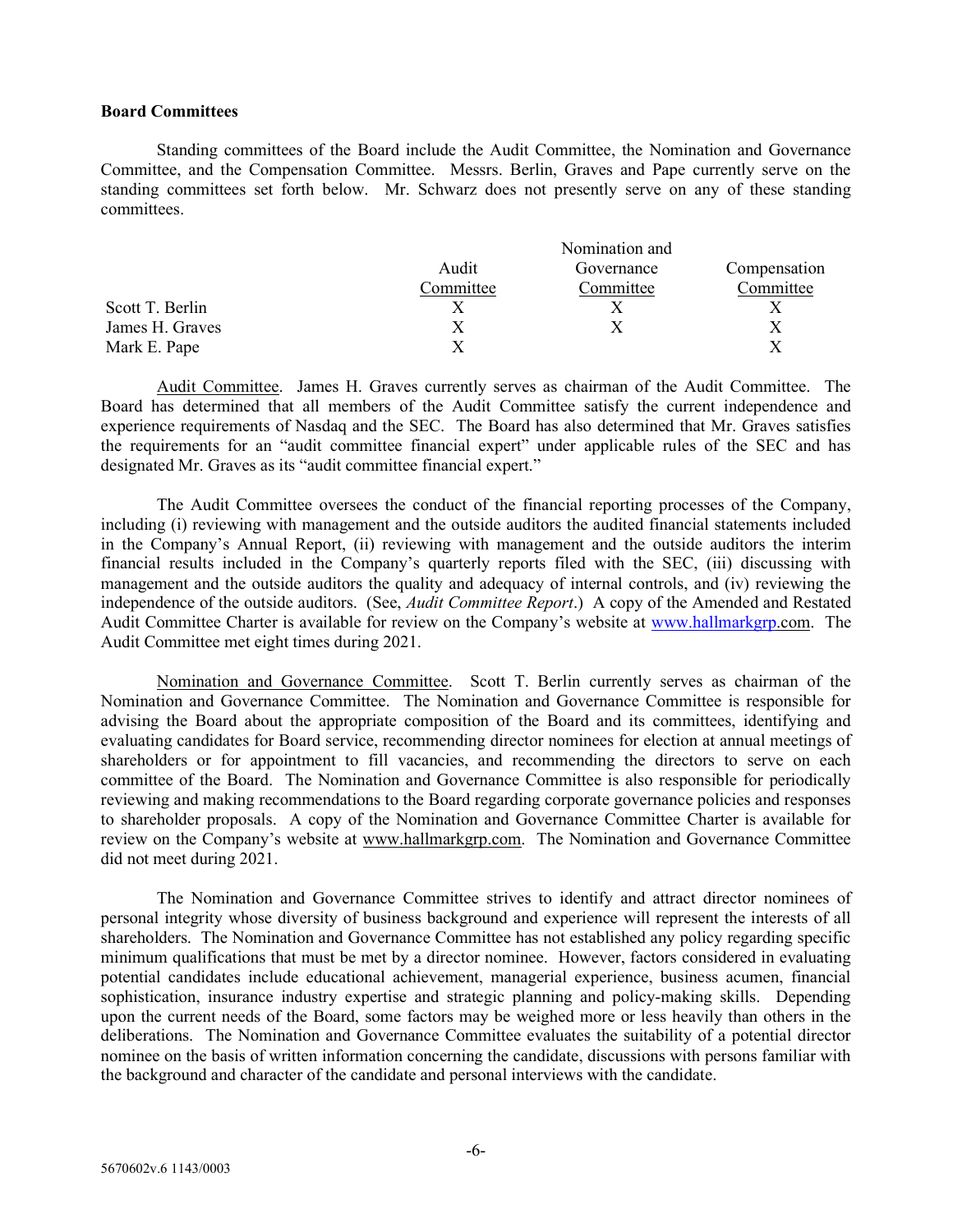### Board Committees

 Standing committees of the Board include the Audit Committee, the Nomination and Governance Committee, and the Compensation Committee. Messrs. Berlin, Graves and Pape currently serve on the standing committees set forth below. Mr. Schwarz does not presently serve on any of these standing committees.

|                 | Nomination and |            |           |
|-----------------|----------------|------------|-----------|
|                 | Audit          | Governance |           |
|                 | Committee      | Committee  | Committee |
| Scott T. Berlin |                |            |           |
| James H. Graves |                |            |           |
| Mark E. Pape    |                |            |           |

 Audit Committee. James H. Graves currently serves as chairman of the Audit Committee. The Board has determined that all members of the Audit Committee satisfy the current independence and experience requirements of Nasdaq and the SEC. The Board has also determined that Mr. Graves satisfies the requirements for an "audit committee financial expert" under applicable rules of the SEC and has designated Mr. Graves as its "audit committee financial expert."

 The Audit Committee oversees the conduct of the financial reporting processes of the Company, including (i) reviewing with management and the outside auditors the audited financial statements included in the Company's Annual Report, (ii) reviewing with management and the outside auditors the interim financial results included in the Company's quarterly reports filed with the SEC, (iii) discussing with management and the outside auditors the quality and adequacy of internal controls, and (iv) reviewing the independence of the outside auditors. (See, *Audit Committee Report*.) A copy of the Amended and Restated Audit Committee Charter is available for review on the Company's website at www.hallmarkgrp.com. The Audit Committee met eight times during 2021.

 Nomination and Governance Committee. Scott T. Berlin currently serves as chairman of the Nomination and Governance Committee. The Nomination and Governance Committee is responsible for advising the Board about the appropriate composition of the Board and its committees, identifying and evaluating candidates for Board service, recommending director nominees for election at annual meetings of shareholders or for appointment to fill vacancies, and recommending the directors to serve on each committee of the Board. The Nomination and Governance Committee is also responsible for periodically reviewing and making recommendations to the Board regarding corporate governance policies and responses to shareholder proposals. A copy of the Nomination and Governance Committee Charter is available for review on the Company's website at www.hallmarkgrp.com. The Nomination and Governance Committee did not meet during 2021.

 The Nomination and Governance Committee strives to identify and attract director nominees of personal integrity whose diversity of business background and experience will represent the interests of all shareholders. The Nomination and Governance Committee has not established any policy regarding specific minimum qualifications that must be met by a director nominee. However, factors considered in evaluating potential candidates include educational achievement, managerial experience, business acumen, financial sophistication, insurance industry expertise and strategic planning and policy-making skills. Depending upon the current needs of the Board, some factors may be weighed more or less heavily than others in the deliberations. The Nomination and Governance Committee evaluates the suitability of a potential director nominee on the basis of written information concerning the candidate, discussions with persons familiar with the background and character of the candidate and personal interviews with the candidate.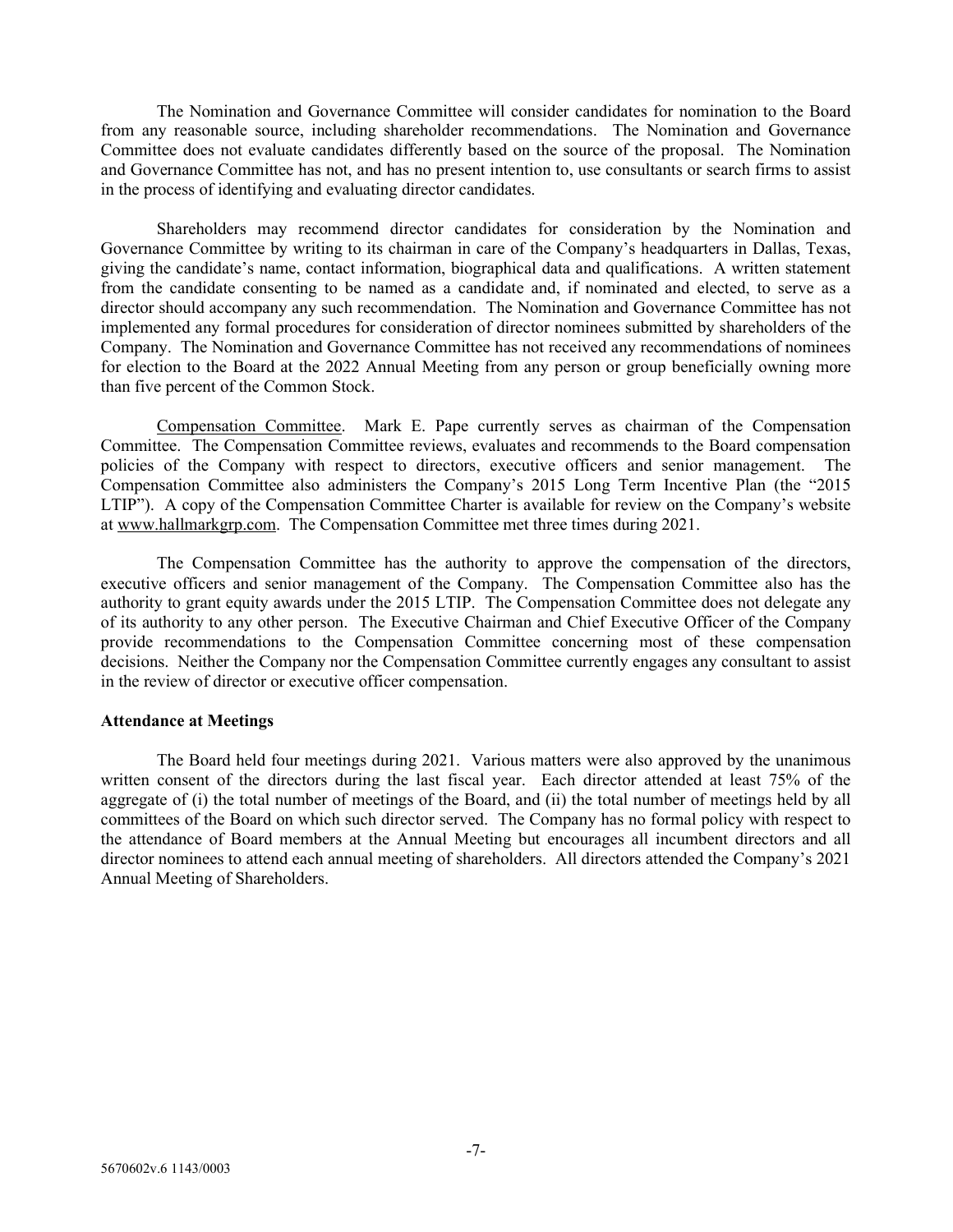The Nomination and Governance Committee will consider candidates for nomination to the Board from any reasonable source, including shareholder recommendations. The Nomination and Governance Committee does not evaluate candidates differently based on the source of the proposal. The Nomination and Governance Committee has not, and has no present intention to, use consultants or search firms to assist in the process of identifying and evaluating director candidates.

 Shareholders may recommend director candidates for consideration by the Nomination and Governance Committee by writing to its chairman in care of the Company's headquarters in Dallas, Texas, giving the candidate's name, contact information, biographical data and qualifications. A written statement from the candidate consenting to be named as a candidate and, if nominated and elected, to serve as a director should accompany any such recommendation. The Nomination and Governance Committee has not implemented any formal procedures for consideration of director nominees submitted by shareholders of the Company. The Nomination and Governance Committee has not received any recommendations of nominees for election to the Board at the 2022 Annual Meeting from any person or group beneficially owning more than five percent of the Common Stock.

 Compensation Committee. Mark E. Pape currently serves as chairman of the Compensation Committee. The Compensation Committee reviews, evaluates and recommends to the Board compensation policies of the Company with respect to directors, executive officers and senior management. The Compensation Committee also administers the Company's 2015 Long Term Incentive Plan (the "2015 LTIP"). A copy of the Compensation Committee Charter is available for review on the Company's website at www.hallmarkgrp.com. The Compensation Committee met three times during 2021.

 The Compensation Committee has the authority to approve the compensation of the directors, executive officers and senior management of the Company. The Compensation Committee also has the authority to grant equity awards under the 2015 LTIP. The Compensation Committee does not delegate any of its authority to any other person. The Executive Chairman and Chief Executive Officer of the Company provide recommendations to the Compensation Committee concerning most of these compensation decisions. Neither the Company nor the Compensation Committee currently engages any consultant to assist in the review of director or executive officer compensation.

## Attendance at Meetings

 The Board held four meetings during 2021. Various matters were also approved by the unanimous written consent of the directors during the last fiscal year. Each director attended at least 75% of the aggregate of (i) the total number of meetings of the Board, and (ii) the total number of meetings held by all committees of the Board on which such director served. The Company has no formal policy with respect to the attendance of Board members at the Annual Meeting but encourages all incumbent directors and all director nominees to attend each annual meeting of shareholders. All directors attended the Company's 2021 Annual Meeting of Shareholders.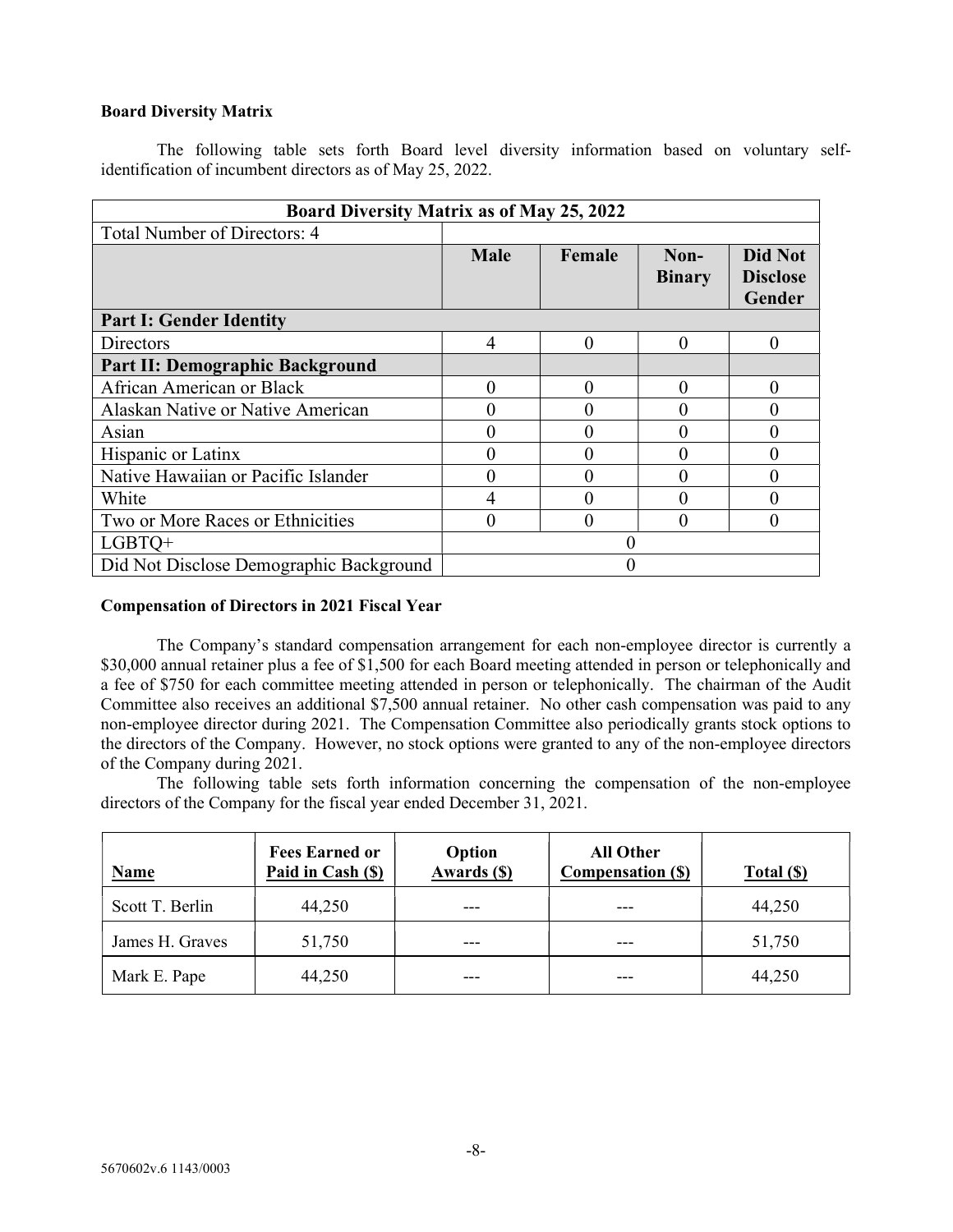## Board Diversity Matrix

 The following table sets forth Board level diversity information based on voluntary selfidentification of incumbent directors as of May 25, 2022.

| <b>Board Diversity Matrix as of May 25, 2022</b> |             |        |                       |                                      |  |
|--------------------------------------------------|-------------|--------|-----------------------|--------------------------------------|--|
| <b>Total Number of Directors: 4</b>              |             |        |                       |                                      |  |
|                                                  | <b>Male</b> | Female | Non-<br><b>Binary</b> | Did Not<br><b>Disclose</b><br>Gender |  |
| <b>Part I: Gender Identity</b>                   |             |        |                       |                                      |  |
| <b>Directors</b>                                 | 4           | 0      | $\Omega$              | 0                                    |  |
| Part II: Demographic Background                  |             |        |                       |                                      |  |
| African American or Black                        |             |        |                       |                                      |  |
| Alaskan Native or Native American                |             |        |                       |                                      |  |
| Asian                                            |             |        |                       |                                      |  |
| Hispanic or Latinx                               |             |        | 0                     |                                      |  |
| Native Hawaiian or Pacific Islander              |             |        |                       |                                      |  |
| White                                            |             |        |                       |                                      |  |
| Two or More Races or Ethnicities                 | 0           |        | $\Omega$              |                                      |  |
| LGBTO+                                           |             |        |                       |                                      |  |
| Did Not Disclose Demographic Background          |             |        |                       |                                      |  |

## Compensation of Directors in 2021 Fiscal Year

 The Company's standard compensation arrangement for each non-employee director is currently a \$30,000 annual retainer plus a fee of \$1,500 for each Board meeting attended in person or telephonically and a fee of \$750 for each committee meeting attended in person or telephonically. The chairman of the Audit Committee also receives an additional \$7,500 annual retainer. No other cash compensation was paid to any non-employee director during 2021. The Compensation Committee also periodically grants stock options to the directors of the Company. However, no stock options were granted to any of the non-employee directors of the Company during 2021.

 The following table sets forth information concerning the compensation of the non-employee directors of the Company for the fiscal year ended December 31, 2021.

| <b>Name</b>     | <b>Fees Earned or</b><br>Paid in Cash (\$) | Option<br>Awards (\$) | <b>All Other</b><br><b>Compensation (\$)</b> | Total(S) |
|-----------------|--------------------------------------------|-----------------------|----------------------------------------------|----------|
| Scott T. Berlin | 44,250                                     |                       |                                              | 44,250   |
| James H. Graves | 51,750                                     |                       | ---                                          | 51,750   |
| Mark E. Pape    | 44,250                                     | ---                   |                                              | 44,250   |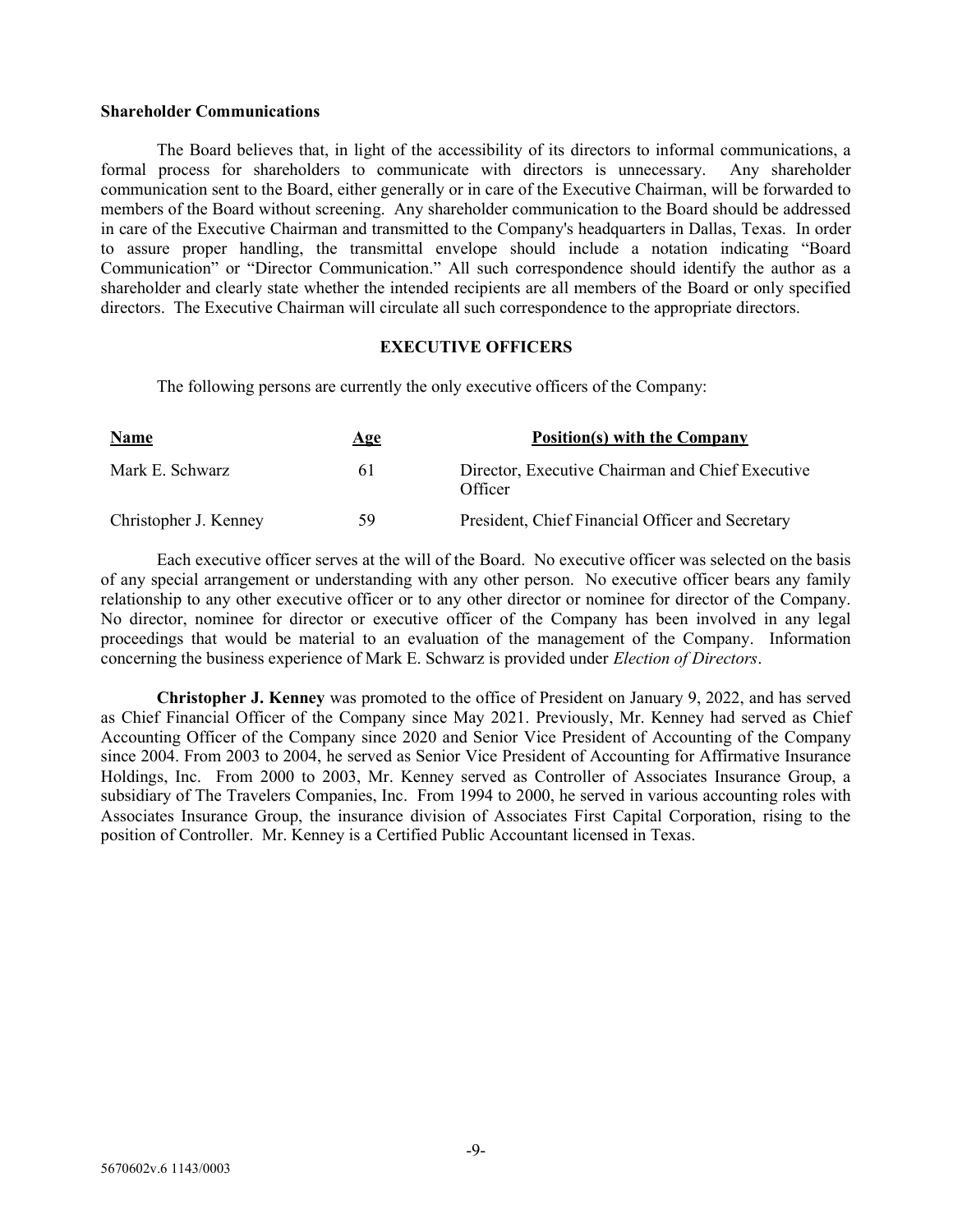### Shareholder Communications

 The Board believes that, in light of the accessibility of its directors to informal communications, a formal process for shareholders to communicate with directors is unnecessary. Any shareholder communication sent to the Board, either generally or in care of the Executive Chairman, will be forwarded to members of the Board without screening. Any shareholder communication to the Board should be addressed in care of the Executive Chairman and transmitted to the Company's headquarters in Dallas, Texas. In order to assure proper handling, the transmittal envelope should include a notation indicating "Board Communication" or "Director Communication." All such correspondence should identify the author as a shareholder and clearly state whether the intended recipients are all members of the Board or only specified directors. The Executive Chairman will circulate all such correspondence to the appropriate directors.

## EXECUTIVE OFFICERS

The following persons are currently the only executive officers of the Company:

| <b>Name</b>           | <u>Age</u> | Position(s) with the Company                                |
|-----------------------|------------|-------------------------------------------------------------|
| Mark E. Schwarz       | 61         | Director, Executive Chairman and Chief Executive<br>Officer |
| Christopher J. Kenney | 59         | President, Chief Financial Officer and Secretary            |

 Each executive officer serves at the will of the Board. No executive officer was selected on the basis of any special arrangement or understanding with any other person. No executive officer bears any family relationship to any other executive officer or to any other director or nominee for director of the Company. No director, nominee for director or executive officer of the Company has been involved in any legal proceedings that would be material to an evaluation of the management of the Company. Information concerning the business experience of Mark E. Schwarz is provided under Election of Directors.

Christopher J. Kenney was promoted to the office of President on January 9, 2022, and has served as Chief Financial Officer of the Company since May 2021. Previously, Mr. Kenney had served as Chief Accounting Officer of the Company since 2020 and Senior Vice President of Accounting of the Company since 2004. From 2003 to 2004, he served as Senior Vice President of Accounting for Affirmative Insurance Holdings, Inc. From 2000 to 2003, Mr. Kenney served as Controller of Associates Insurance Group, a subsidiary of The Travelers Companies, Inc. From 1994 to 2000, he served in various accounting roles with Associates Insurance Group, the insurance division of Associates First Capital Corporation, rising to the position of Controller. Mr. Kenney is a Certified Public Accountant licensed in Texas.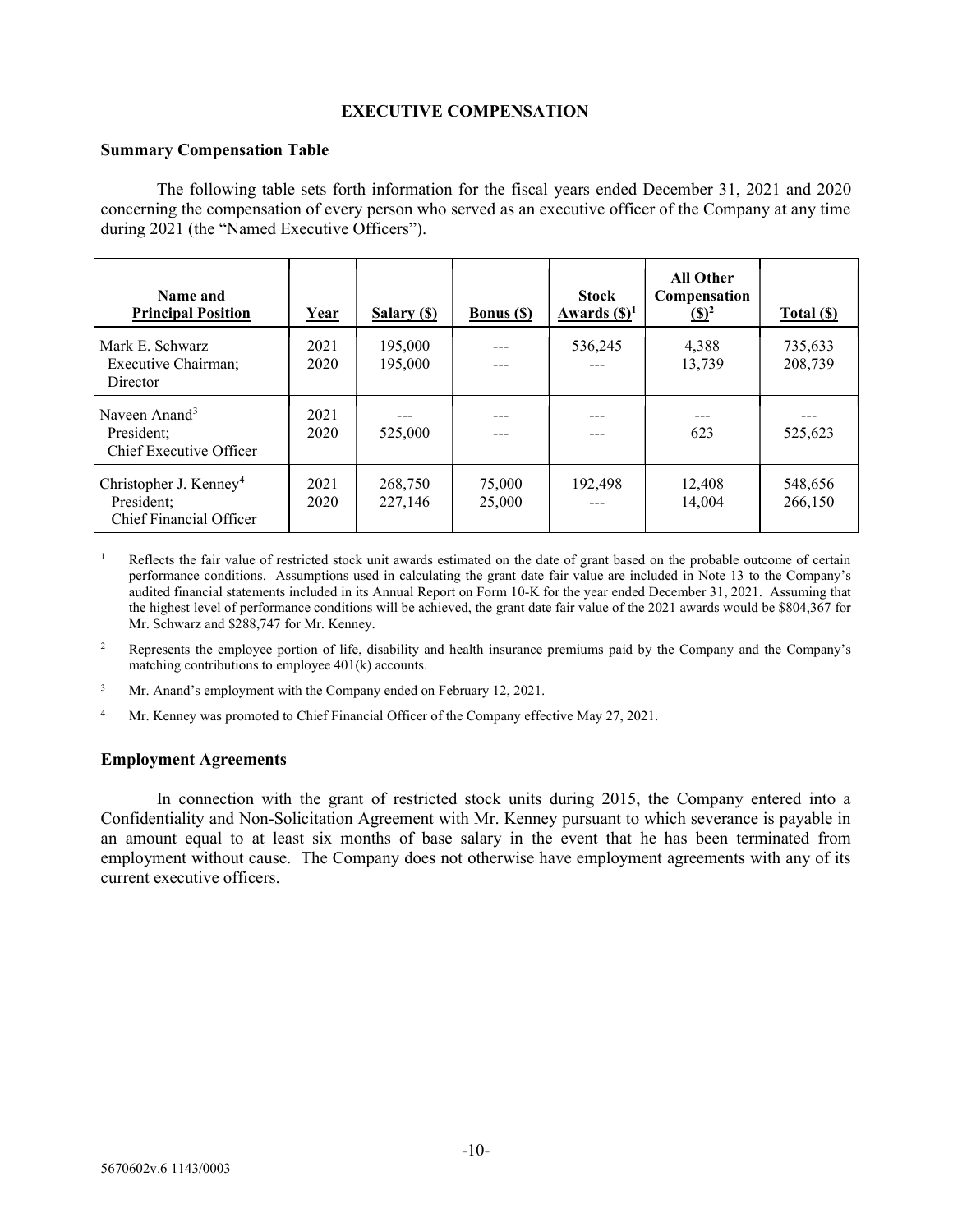## EXECUTIVE COMPENSATION

## Summary Compensation Table

 The following table sets forth information for the fiscal years ended December 31, 2021 and 2020 concerning the compensation of every person who served as an executive officer of the Company at any time during 2021 (the "Named Executive Officers").

| Name and<br><b>Principal Position</b>                                       | <u>Year</u>  | Salary (\$)        | <b>Bonus</b> (\$) | <b>Stock</b><br>Awards $(\mathbf{S})^1$ | <b>All Other</b><br>Compensation<br>$\left( \mathbb{S}\right)^2$ | Total (\$)         |
|-----------------------------------------------------------------------------|--------------|--------------------|-------------------|-----------------------------------------|------------------------------------------------------------------|--------------------|
| Mark E. Schwarz<br>Executive Chairman;<br>Director                          | 2021<br>2020 | 195,000<br>195,000 |                   | 536,245                                 | 4,388<br>13,739                                                  | 735,633<br>208,739 |
| Naveen Anand <sup>3</sup><br>President;<br>Chief Executive Officer          | 2021<br>2020 | 525,000            |                   |                                         | 623                                                              | 525,623            |
| Christopher J. Kenney <sup>4</sup><br>President;<br>Chief Financial Officer | 2021<br>2020 | 268,750<br>227,146 | 75,000<br>25,000  | 192,498                                 | 12,408<br>14.004                                                 | 548,656<br>266,150 |

- 1 Reflects the fair value of restricted stock unit awards estimated on the date of grant based on the probable outcome of certain performance conditions. Assumptions used in calculating the grant date fair value are included in Note 13 to the Company's audited financial statements included in its Annual Report on Form 10-K for the year ended December 31, 2021. Assuming that the highest level of performance conditions will be achieved, the grant date fair value of the 2021 awards would be \$804,367 for Mr. Schwarz and \$288,747 for Mr. Kenney.
- 2 Represents the employee portion of life, disability and health insurance premiums paid by the Company and the Company's matching contributions to employee 401(k) accounts.
- 3 Mr. Anand's employment with the Company ended on February 12, 2021.
- 4 Mr. Kenney was promoted to Chief Financial Officer of the Company effective May 27, 2021.

## Employment Agreements

 In connection with the grant of restricted stock units during 2015, the Company entered into a Confidentiality and Non-Solicitation Agreement with Mr. Kenney pursuant to which severance is payable in an amount equal to at least six months of base salary in the event that he has been terminated from employment without cause. The Company does not otherwise have employment agreements with any of its current executive officers.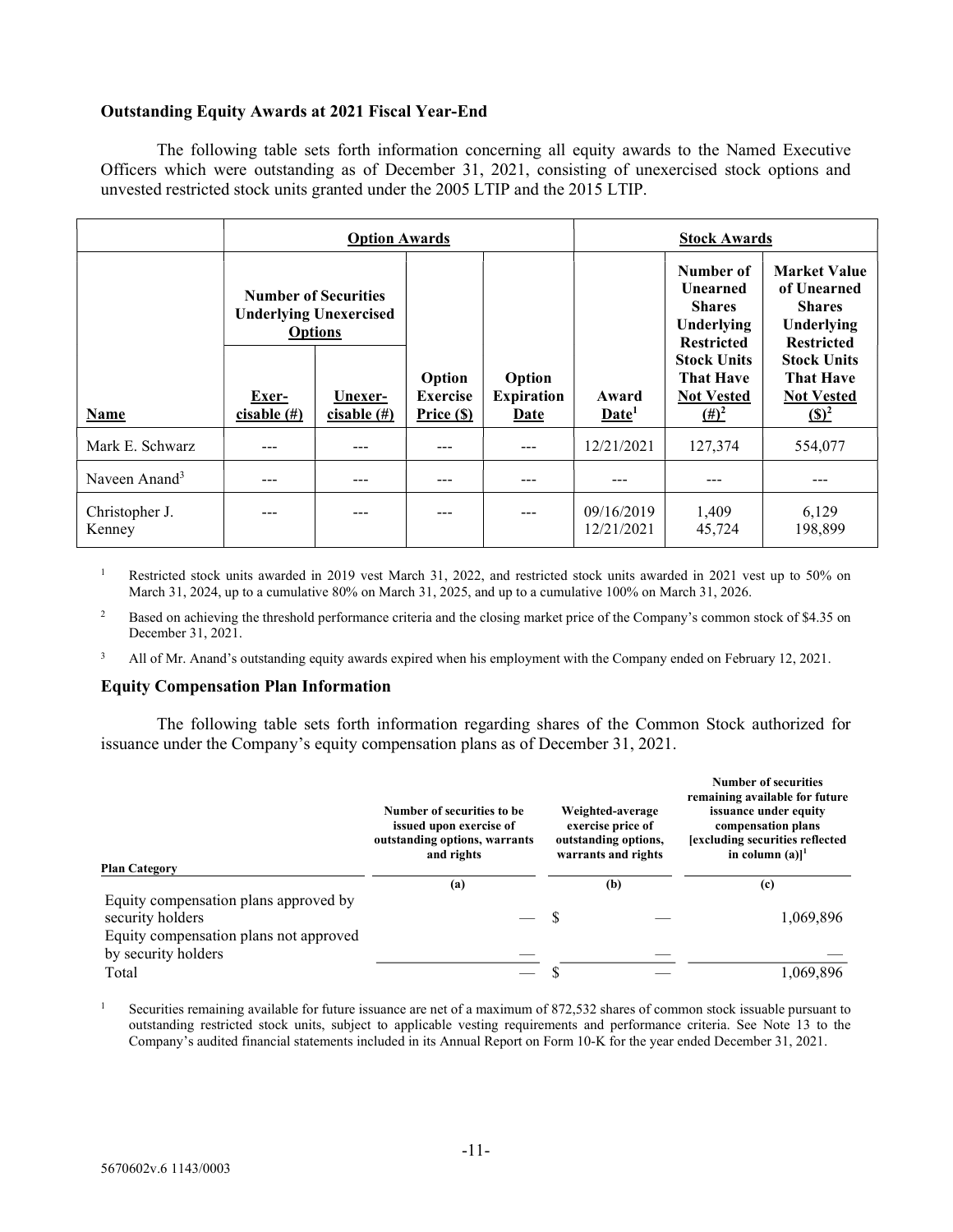## Outstanding Equity Awards at 2021 Fiscal Year-End

 The following table sets forth information concerning all equity awards to the Named Executive Officers which were outstanding as of December 31, 2021, consisting of unexercised stock options and unvested restricted stock units granted under the 2005 LTIP and the 2015 LTIP.

|                           | <b>Option Awards</b>    |                                                              |                               |                                  |                            | <b>Stock Awards</b>                                                                                                        |                                                                                                                                  |
|---------------------------|-------------------------|--------------------------------------------------------------|-------------------------------|----------------------------------|----------------------------|----------------------------------------------------------------------------------------------------------------------------|----------------------------------------------------------------------------------------------------------------------------------|
|                           | <b>Options</b>          | <b>Number of Securities</b><br><b>Underlying Unexercised</b> | Option                        | Option                           |                            | Number of<br><b>Unearned</b><br><b>Shares</b><br>Underlying<br><b>Restricted</b><br><b>Stock Units</b><br><b>That Have</b> | <b>Market Value</b><br>of Unearned<br><b>Shares</b><br>Underlying<br><b>Restricted</b><br><b>Stock Units</b><br><b>That Have</b> |
| Name                      | Exer-<br>cisable $(\#)$ | Unexer-<br>cisable $(\#)$                                    | <b>Exercise</b><br>Price (\$) | <b>Expiration</b><br><b>Date</b> | Award<br>Date <sup>1</sup> | <b>Not Vested</b><br>$(\pm)^2$                                                                                             | <b>Not Vested</b><br>$\left( \mathbb{S}\right)^2$                                                                                |
| Mark E. Schwarz           |                         | ---                                                          | ---                           |                                  | 12/21/2021                 | 127,374                                                                                                                    | 554,077                                                                                                                          |
| Naveen Anand <sup>3</sup> |                         | ---                                                          | ---                           | ---                              |                            |                                                                                                                            |                                                                                                                                  |
| Christopher J.<br>Kenney  |                         |                                                              |                               | ---                              | 09/16/2019<br>12/21/2021   | 1,409<br>45,724                                                                                                            | 6,129<br>198,899                                                                                                                 |

1 Restricted stock units awarded in 2019 vest March 31, 2022, and restricted stock units awarded in 2021 vest up to 50% on March 31, 2024, up to a cumulative 80% on March 31, 2025, and up to a cumulative 100% on March 31, 2026.

2 Based on achieving the threshold performance criteria and the closing market price of the Company's common stock of \$4.35 on December 31, 2021.

3 All of Mr. Anand's outstanding equity awards expired when his employment with the Company ended on February 12, 2021.

## Equity Compensation Plan Information

 The following table sets forth information regarding shares of the Common Stock authorized for issuance under the Company's equity compensation plans as of December 31, 2021.

| <b>Plan Category</b>                                                                                | Number of securities to be.<br>issued upon exercise of<br>outstanding options, warrants<br>and rights | Weighted-average<br>exercise price of<br>outstanding options,<br>warrants and rights | <b>Number of securities</b><br>remaining available for future<br>issuance under equity<br>compensation plans<br>[excluding securities reflected<br>in column $(a)$ <sup>1</sup> |
|-----------------------------------------------------------------------------------------------------|-------------------------------------------------------------------------------------------------------|--------------------------------------------------------------------------------------|---------------------------------------------------------------------------------------------------------------------------------------------------------------------------------|
|                                                                                                     | (a)                                                                                                   | (b)                                                                                  | (c)                                                                                                                                                                             |
| Equity compensation plans approved by<br>security holders<br>Equity compensation plans not approved |                                                                                                       |                                                                                      | 1,069,896                                                                                                                                                                       |
| by security holders<br>Total                                                                        |                                                                                                       |                                                                                      | 1,069,896                                                                                                                                                                       |

1 Securities remaining available for future issuance are net of a maximum of 872,532 shares of common stock issuable pursuant to outstanding restricted stock units, subject to applicable vesting requirements and performance criteria. See Note 13 to the Company's audited financial statements included in its Annual Report on Form 10-K for the year ended December 31, 2021.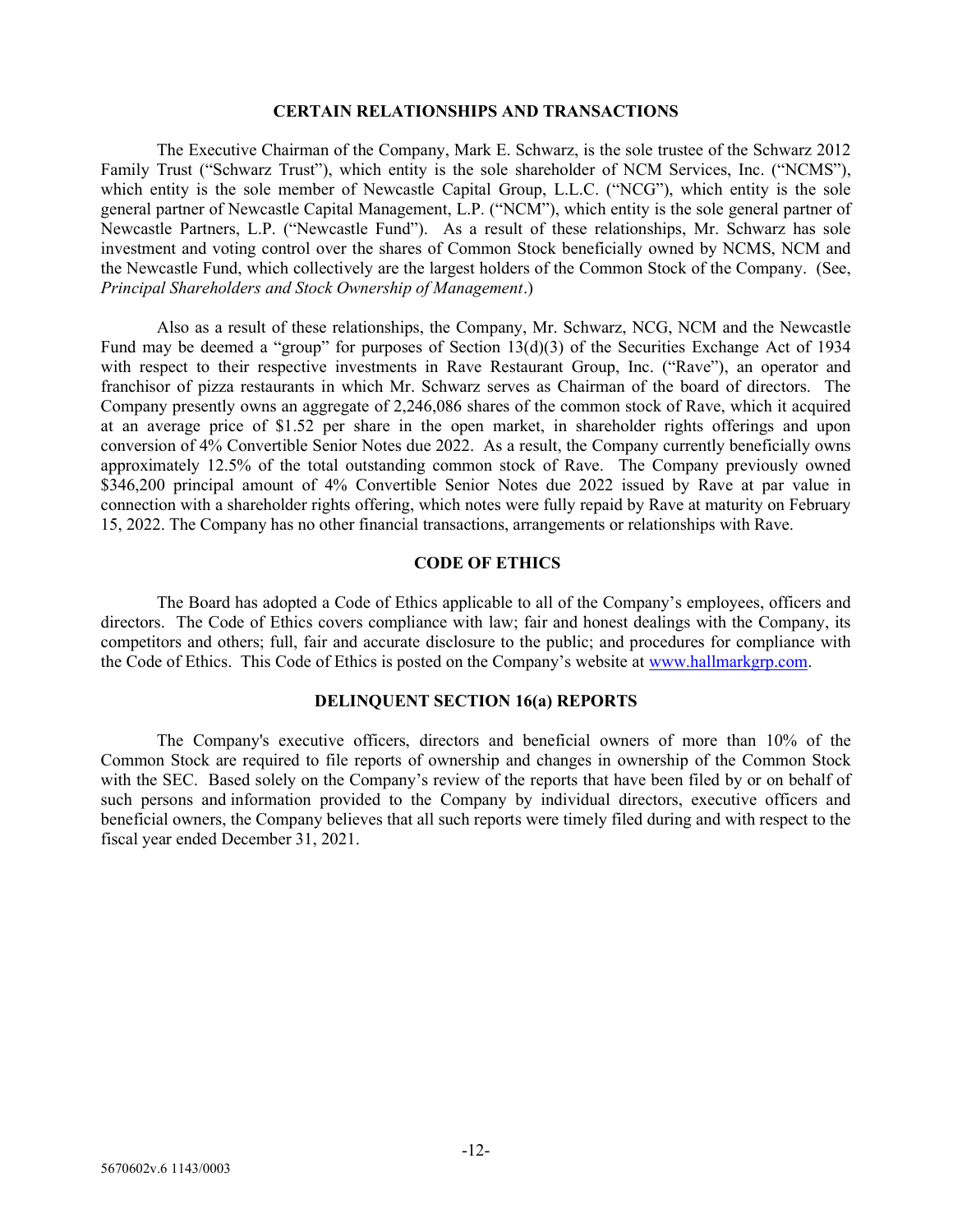#### CERTAIN RELATIONSHIPS AND TRANSACTIONS

 The Executive Chairman of the Company, Mark E. Schwarz, is the sole trustee of the Schwarz 2012 Family Trust ("Schwarz Trust"), which entity is the sole shareholder of NCM Services, Inc. ("NCMS"), which entity is the sole member of Newcastle Capital Group, L.L.C. ("NCG"), which entity is the sole general partner of Newcastle Capital Management, L.P. ("NCM"), which entity is the sole general partner of Newcastle Partners, L.P. ("Newcastle Fund"). As a result of these relationships, Mr. Schwarz has sole investment and voting control over the shares of Common Stock beneficially owned by NCMS, NCM and the Newcastle Fund, which collectively are the largest holders of the Common Stock of the Company. (See, Principal Shareholders and Stock Ownership of Management.)

 Also as a result of these relationships, the Company, Mr. Schwarz, NCG, NCM and the Newcastle Fund may be deemed a "group" for purposes of Section 13(d)(3) of the Securities Exchange Act of 1934 with respect to their respective investments in Rave Restaurant Group, Inc. ("Rave"), an operator and franchisor of pizza restaurants in which Mr. Schwarz serves as Chairman of the board of directors. The Company presently owns an aggregate of 2,246,086 shares of the common stock of Rave, which it acquired at an average price of \$1.52 per share in the open market, in shareholder rights offerings and upon conversion of 4% Convertible Senior Notes due 2022. As a result, the Company currently beneficially owns approximately 12.5% of the total outstanding common stock of Rave. The Company previously owned \$346,200 principal amount of 4% Convertible Senior Notes due 2022 issued by Rave at par value in connection with a shareholder rights offering, which notes were fully repaid by Rave at maturity on February 15, 2022. The Company has no other financial transactions, arrangements or relationships with Rave.

## CODE OF ETHICS

 The Board has adopted a Code of Ethics applicable to all of the Company's employees, officers and directors. The Code of Ethics covers compliance with law; fair and honest dealings with the Company, its competitors and others; full, fair and accurate disclosure to the public; and procedures for compliance with the Code of Ethics. This Code of Ethics is posted on the Company's website at www.hallmarkgrp.com.

## DELINQUENT SECTION 16(a) REPORTS

The Company's executive officers, directors and beneficial owners of more than 10% of the Common Stock are required to file reports of ownership and changes in ownership of the Common Stock with the SEC. Based solely on the Company's review of the reports that have been filed by or on behalf of such persons and information provided to the Company by individual directors, executive officers and beneficial owners, the Company believes that all such reports were timely filed during and with respect to the fiscal year ended December 31, 2021.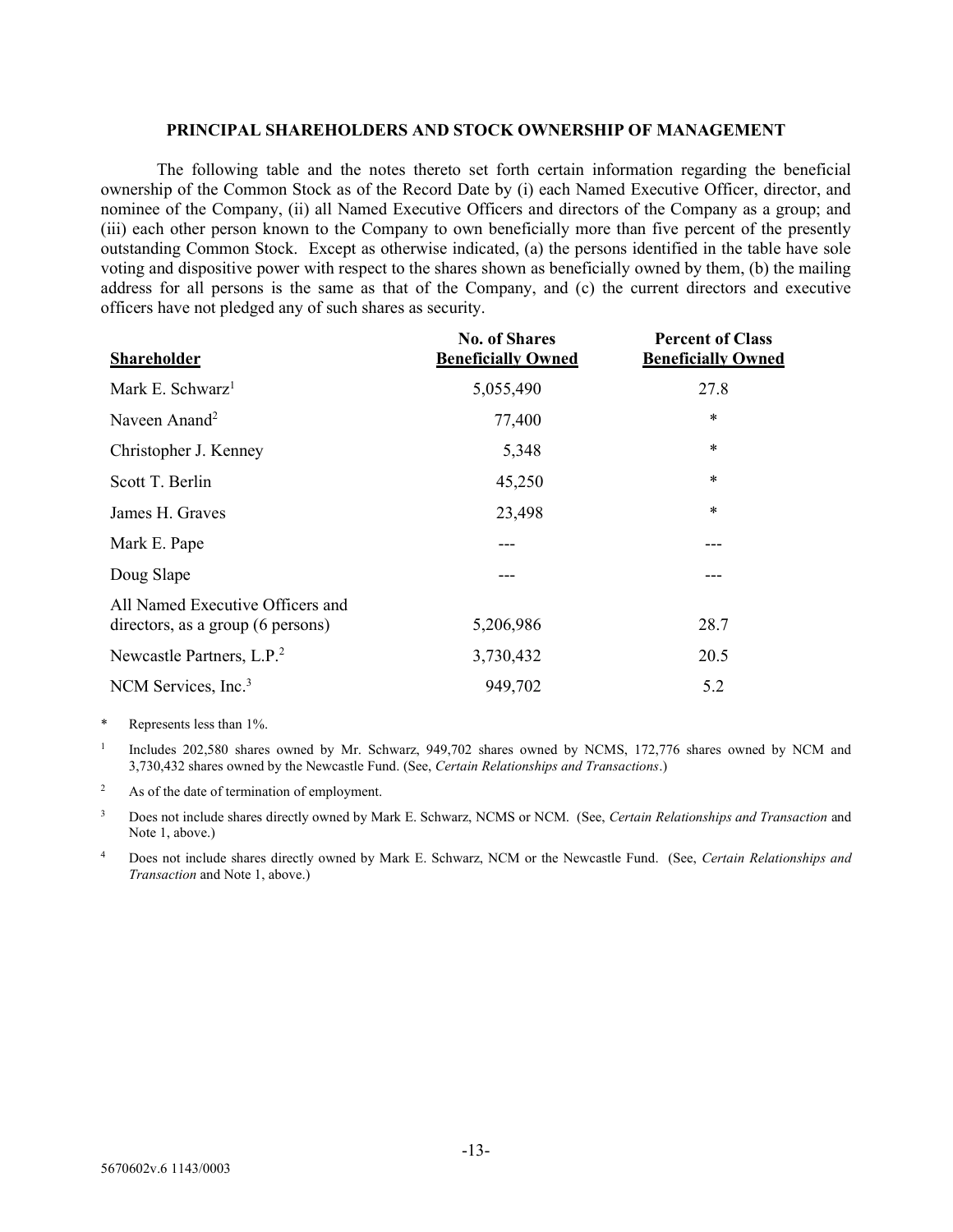#### PRINCIPAL SHAREHOLDERS AND STOCK OWNERSHIP OF MANAGEMENT

 The following table and the notes thereto set forth certain information regarding the beneficial ownership of the Common Stock as of the Record Date by (i) each Named Executive Officer, director, and nominee of the Company, (ii) all Named Executive Officers and directors of the Company as a group; and (iii) each other person known to the Company to own beneficially more than five percent of the presently outstanding Common Stock. Except as otherwise indicated, (a) the persons identified in the table have sole voting and dispositive power with respect to the shares shown as beneficially owned by them, (b) the mailing address for all persons is the same as that of the Company, and (c) the current directors and executive officers have not pledged any of such shares as security.

| <b>Shareholder</b>                                                    | <b>No. of Shares</b><br><b>Beneficially Owned</b> | <b>Percent of Class</b><br><b>Beneficially Owned</b> |
|-----------------------------------------------------------------------|---------------------------------------------------|------------------------------------------------------|
| Mark E. Schwarz <sup>1</sup>                                          | 5,055,490                                         | 27.8                                                 |
| Naveen Anand <sup>2</sup>                                             | 77,400                                            | $\ast$                                               |
| Christopher J. Kenney                                                 | 5,348                                             | $\ast$                                               |
| Scott T. Berlin                                                       | 45,250                                            | *                                                    |
| James H. Graves                                                       | 23,498                                            | *                                                    |
| Mark E. Pape                                                          |                                                   | ---                                                  |
| Doug Slape                                                            |                                                   | ---                                                  |
| All Named Executive Officers and<br>directors, as a group (6 persons) | 5,206,986                                         | 28.7                                                 |
| Newcastle Partners, L.P. <sup>2</sup>                                 | 3,730,432                                         | 20.5                                                 |
| NCM Services, Inc. <sup>3</sup>                                       | 949,702                                           | 5.2                                                  |

\* Represents less than 1%.

1 Includes 202,580 shares owned by Mr. Schwarz, 949,702 shares owned by NCMS, 172,776 shares owned by NCM and 3,730,432 shares owned by the Newcastle Fund. (See, Certain Relationships and Transactions.)

<sup>2</sup> As of the date of termination of employment.

<sup>3</sup> Does not include shares directly owned by Mark E. Schwarz, NCMS or NCM. (See, *Certain Relationships and Transaction* and Note 1, above.)

4 Does not include shares directly owned by Mark E. Schwarz, NCM or the Newcastle Fund. (See, Certain Relationships and Transaction and Note 1, above.)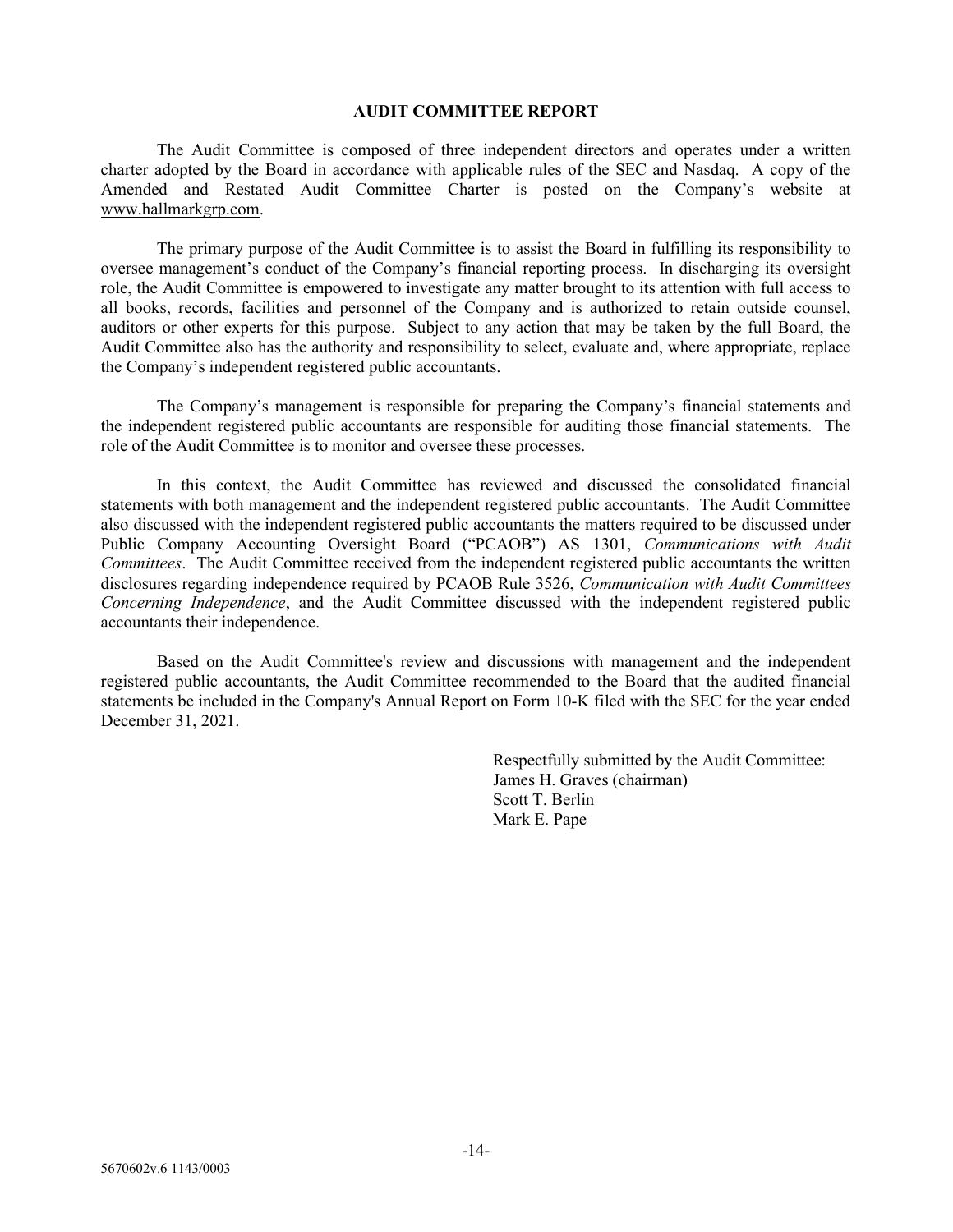#### AUDIT COMMITTEE REPORT

 The Audit Committee is composed of three independent directors and operates under a written charter adopted by the Board in accordance with applicable rules of the SEC and Nasdaq. A copy of the Amended and Restated Audit Committee Charter is posted on the Company's website at www.hallmarkgrp.com.

 The primary purpose of the Audit Committee is to assist the Board in fulfilling its responsibility to oversee management's conduct of the Company's financial reporting process. In discharging its oversight role, the Audit Committee is empowered to investigate any matter brought to its attention with full access to all books, records, facilities and personnel of the Company and is authorized to retain outside counsel, auditors or other experts for this purpose. Subject to any action that may be taken by the full Board, the Audit Committee also has the authority and responsibility to select, evaluate and, where appropriate, replace the Company's independent registered public accountants.

 The Company's management is responsible for preparing the Company's financial statements and the independent registered public accountants are responsible for auditing those financial statements. The role of the Audit Committee is to monitor and oversee these processes.

 In this context, the Audit Committee has reviewed and discussed the consolidated financial statements with both management and the independent registered public accountants. The Audit Committee also discussed with the independent registered public accountants the matters required to be discussed under Public Company Accounting Oversight Board ("PCAOB") AS 1301, Communications with Audit Committees. The Audit Committee received from the independent registered public accountants the written disclosures regarding independence required by PCAOB Rule 3526, Communication with Audit Committees Concerning Independence, and the Audit Committee discussed with the independent registered public accountants their independence.

 Based on the Audit Committee's review and discussions with management and the independent registered public accountants, the Audit Committee recommended to the Board that the audited financial statements be included in the Company's Annual Report on Form 10-K filed with the SEC for the year ended December 31, 2021.

> Respectfully submitted by the Audit Committee: James H. Graves (chairman) Scott T. Berlin Mark E. Pape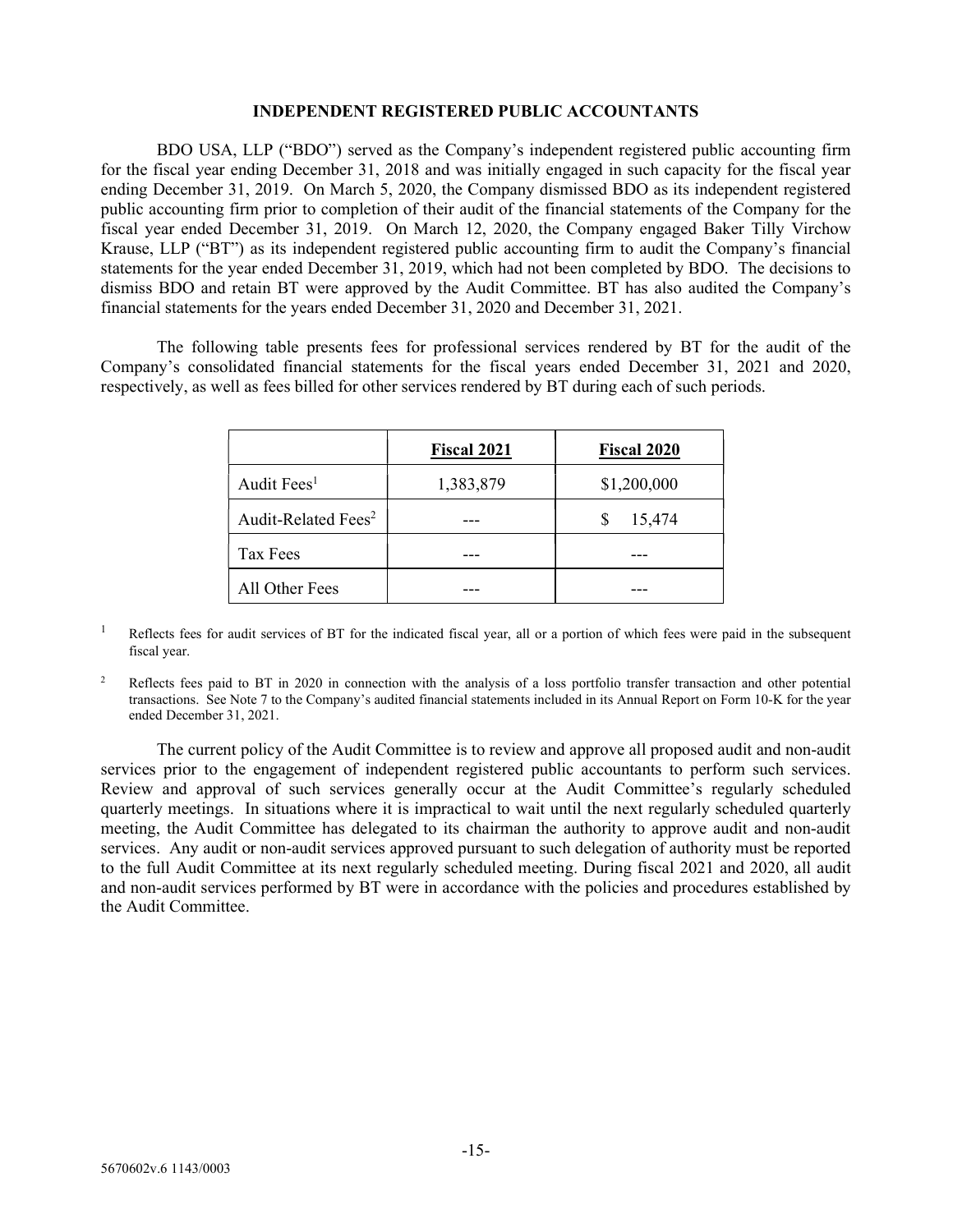## INDEPENDENT REGISTERED PUBLIC ACCOUNTANTS

 BDO USA, LLP ("BDO") served as the Company's independent registered public accounting firm for the fiscal year ending December 31, 2018 and was initially engaged in such capacity for the fiscal year ending December 31, 2019. On March 5, 2020, the Company dismissed BDO as its independent registered public accounting firm prior to completion of their audit of the financial statements of the Company for the fiscal year ended December 31, 2019. On March 12, 2020, the Company engaged Baker Tilly Virchow Krause, LLP ("BT") as its independent registered public accounting firm to audit the Company's financial statements for the year ended December 31, 2019, which had not been completed by BDO. The decisions to dismiss BDO and retain BT were approved by the Audit Committee. BT has also audited the Company's financial statements for the years ended December 31, 2020 and December 31, 2021.

 The following table presents fees for professional services rendered by BT for the audit of the Company's consolidated financial statements for the fiscal years ended December 31, 2021 and 2020, respectively, as well as fees billed for other services rendered by BT during each of such periods.

|                                 | <b>Fiscal 2021</b> | <b>Fiscal 2020</b> |
|---------------------------------|--------------------|--------------------|
| Audit Fees <sup>1</sup>         | 1,383,879          | \$1,200,000        |
| Audit-Related Fees <sup>2</sup> |                    | 15,474<br>\$       |
| Tax Fees                        |                    |                    |
| All Other Fees                  |                    |                    |

<sup>1</sup> Reflects fees for audit services of BT for the indicated fiscal year, all or a portion of which fees were paid in the subsequent fiscal year.

2 Reflects fees paid to BT in 2020 in connection with the analysis of a loss portfolio transfer transaction and other potential transactions. See Note 7 to the Company's audited financial statements included in its Annual Report on Form 10-K for the year ended December 31, 2021.

 The current policy of the Audit Committee is to review and approve all proposed audit and non-audit services prior to the engagement of independent registered public accountants to perform such services. Review and approval of such services generally occur at the Audit Committee's regularly scheduled quarterly meetings. In situations where it is impractical to wait until the next regularly scheduled quarterly meeting, the Audit Committee has delegated to its chairman the authority to approve audit and non-audit services. Any audit or non-audit services approved pursuant to such delegation of authority must be reported to the full Audit Committee at its next regularly scheduled meeting. During fiscal 2021 and 2020, all audit and non-audit services performed by BT were in accordance with the policies and procedures established by the Audit Committee.